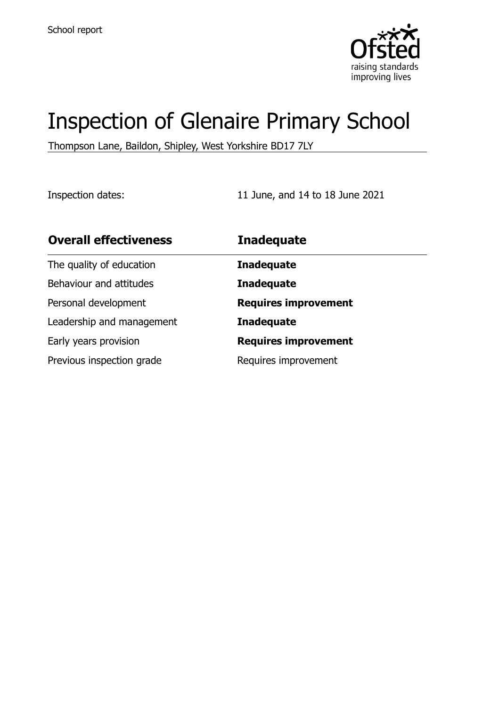

# Inspection of Glenaire Primary School

Thompson Lane, Baildon, Shipley, West Yorkshire BD17 7LY

Inspection dates: 11 June, and 14 to 18 June 2021

| <b>Overall effectiveness</b> | <b>Inadequate</b>           |
|------------------------------|-----------------------------|
| The quality of education     | <b>Inadequate</b>           |
| Behaviour and attitudes      | <b>Inadequate</b>           |
| Personal development         | <b>Requires improvement</b> |
| Leadership and management    | <b>Inadequate</b>           |
| Early years provision        | <b>Requires improvement</b> |
| Previous inspection grade    | Requires improvement        |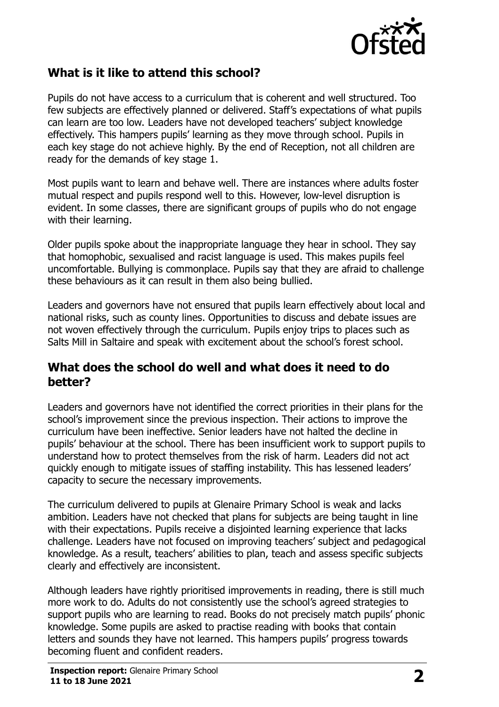

## **What is it like to attend this school?**

Pupils do not have access to a curriculum that is coherent and well structured. Too few subjects are effectively planned or delivered. Staff's expectations of what pupils can learn are too low. Leaders have not developed teachers' subject knowledge effectively. This hampers pupils' learning as they move through school. Pupils in each key stage do not achieve highly. By the end of Reception, not all children are ready for the demands of key stage 1.

Most pupils want to learn and behave well. There are instances where adults foster mutual respect and pupils respond well to this. However, low-level disruption is evident. In some classes, there are significant groups of pupils who do not engage with their learning.

Older pupils spoke about the inappropriate language they hear in school. They say that homophobic, sexualised and racist language is used. This makes pupils feel uncomfortable. Bullying is commonplace. Pupils say that they are afraid to challenge these behaviours as it can result in them also being bullied.

Leaders and governors have not ensured that pupils learn effectively about local and national risks, such as county lines. Opportunities to discuss and debate issues are not woven effectively through the curriculum. Pupils enjoy trips to places such as Salts Mill in Saltaire and speak with excitement about the school's forest school.

#### **What does the school do well and what does it need to do better?**

Leaders and governors have not identified the correct priorities in their plans for the school's improvement since the previous inspection. Their actions to improve the curriculum have been ineffective. Senior leaders have not halted the decline in pupils' behaviour at the school. There has been insufficient work to support pupils to understand how to protect themselves from the risk of harm. Leaders did not act quickly enough to mitigate issues of staffing instability. This has lessened leaders' capacity to secure the necessary improvements.

The curriculum delivered to pupils at Glenaire Primary School is weak and lacks ambition. Leaders have not checked that plans for subjects are being taught in line with their expectations. Pupils receive a disjointed learning experience that lacks challenge. Leaders have not focused on improving teachers' subject and pedagogical knowledge. As a result, teachers' abilities to plan, teach and assess specific subjects clearly and effectively are inconsistent.

Although leaders have rightly prioritised improvements in reading, there is still much more work to do. Adults do not consistently use the school's agreed strategies to support pupils who are learning to read. Books do not precisely match pupils' phonic knowledge. Some pupils are asked to practise reading with books that contain letters and sounds they have not learned. This hampers pupils' progress towards becoming fluent and confident readers.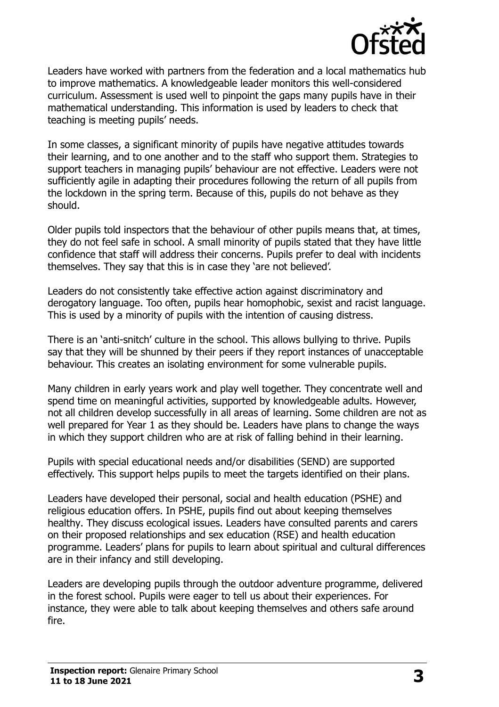

Leaders have worked with partners from the federation and a local mathematics hub to improve mathematics. A knowledgeable leader monitors this well-considered curriculum. Assessment is used well to pinpoint the gaps many pupils have in their mathematical understanding. This information is used by leaders to check that teaching is meeting pupils' needs.

In some classes, a significant minority of pupils have negative attitudes towards their learning, and to one another and to the staff who support them. Strategies to support teachers in managing pupils' behaviour are not effective. Leaders were not sufficiently agile in adapting their procedures following the return of all pupils from the lockdown in the spring term. Because of this, pupils do not behave as they should.

Older pupils told inspectors that the behaviour of other pupils means that, at times, they do not feel safe in school. A small minority of pupils stated that they have little confidence that staff will address their concerns. Pupils prefer to deal with incidents themselves. They say that this is in case they 'are not believed'.

Leaders do not consistently take effective action against discriminatory and derogatory language. Too often, pupils hear homophobic, sexist and racist language. This is used by a minority of pupils with the intention of causing distress.

There is an 'anti-snitch' culture in the school. This allows bullying to thrive. Pupils say that they will be shunned by their peers if they report instances of unacceptable behaviour. This creates an isolating environment for some vulnerable pupils.

Many children in early years work and play well together. They concentrate well and spend time on meaningful activities, supported by knowledgeable adults. However, not all children develop successfully in all areas of learning. Some children are not as well prepared for Year 1 as they should be. Leaders have plans to change the ways in which they support children who are at risk of falling behind in their learning.

Pupils with special educational needs and/or disabilities (SEND) are supported effectively. This support helps pupils to meet the targets identified on their plans.

Leaders have developed their personal, social and health education (PSHE) and religious education offers. In PSHE, pupils find out about keeping themselves healthy. They discuss ecological issues. Leaders have consulted parents and carers on their proposed relationships and sex education (RSE) and health education programme. Leaders' plans for pupils to learn about spiritual and cultural differences are in their infancy and still developing.

Leaders are developing pupils through the outdoor adventure programme, delivered in the forest school. Pupils were eager to tell us about their experiences. For instance, they were able to talk about keeping themselves and others safe around fire.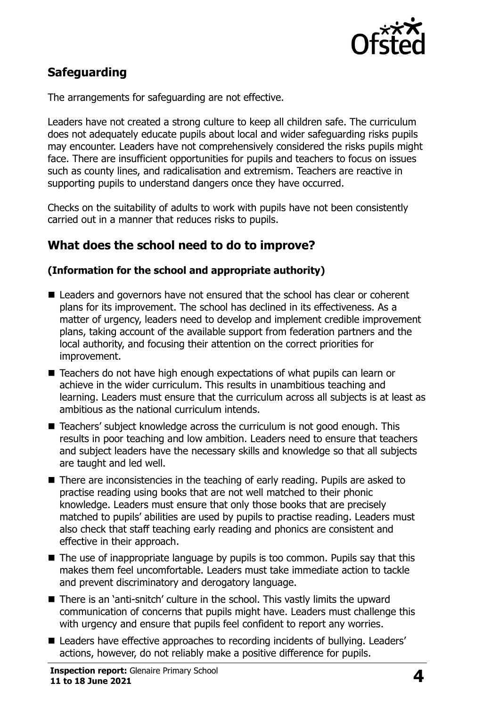

# **Safeguarding**

The arrangements for safeguarding are not effective.

Leaders have not created a strong culture to keep all children safe. The curriculum does not adequately educate pupils about local and wider safeguarding risks pupils may encounter. Leaders have not comprehensively considered the risks pupils might face. There are insufficient opportunities for pupils and teachers to focus on issues such as county lines, and radicalisation and extremism. Teachers are reactive in supporting pupils to understand dangers once they have occurred.

Checks on the suitability of adults to work with pupils have not been consistently carried out in a manner that reduces risks to pupils.

## **What does the school need to do to improve?**

#### **(Information for the school and appropriate authority)**

- Leaders and governors have not ensured that the school has clear or coherent plans for its improvement. The school has declined in its effectiveness. As a matter of urgency, leaders need to develop and implement credible improvement plans, taking account of the available support from federation partners and the local authority, and focusing their attention on the correct priorities for improvement.
- Teachers do not have high enough expectations of what pupils can learn or achieve in the wider curriculum. This results in unambitious teaching and learning. Leaders must ensure that the curriculum across all subjects is at least as ambitious as the national curriculum intends.
- Teachers' subject knowledge across the curriculum is not good enough. This results in poor teaching and low ambition. Leaders need to ensure that teachers and subject leaders have the necessary skills and knowledge so that all subjects are taught and led well.
- There are inconsistencies in the teaching of early reading. Pupils are asked to practise reading using books that are not well matched to their phonic knowledge. Leaders must ensure that only those books that are precisely matched to pupils' abilities are used by pupils to practise reading. Leaders must also check that staff teaching early reading and phonics are consistent and effective in their approach.
- The use of inappropriate language by pupils is too common. Pupils say that this makes them feel uncomfortable. Leaders must take immediate action to tackle and prevent discriminatory and derogatory language.
- There is an 'anti-snitch' culture in the school. This vastly limits the upward communication of concerns that pupils might have. Leaders must challenge this with urgency and ensure that pupils feel confident to report any worries.
- Leaders have effective approaches to recording incidents of bullying. Leaders' actions, however, do not reliably make a positive difference for pupils.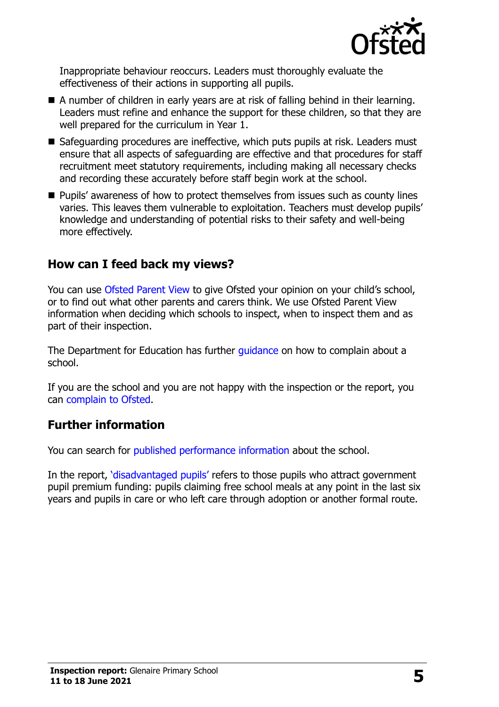

Inappropriate behaviour reoccurs. Leaders must thoroughly evaluate the effectiveness of their actions in supporting all pupils.

- A number of children in early years are at risk of falling behind in their learning. Leaders must refine and enhance the support for these children, so that they are well prepared for the curriculum in Year 1.
- Safeguarding procedures are ineffective, which puts pupils at risk. Leaders must ensure that all aspects of safeguarding are effective and that procedures for staff recruitment meet statutory requirements, including making all necessary checks and recording these accurately before staff begin work at the school.
- Pupils' awareness of how to protect themselves from issues such as county lines varies. This leaves them vulnerable to exploitation. Teachers must develop pupils' knowledge and understanding of potential risks to their safety and well-being more effectively.

### **How can I feed back my views?**

You can use [Ofsted Parent View](http://parentview.ofsted.gov.uk/) to give Ofsted your opinion on your child's school, or to find out what other parents and carers think. We use Ofsted Parent View information when deciding which schools to inspect, when to inspect them and as part of their inspection.

The Department for Education has further [guidance](http://www.gov.uk/complain-about-school) on how to complain about a school.

If you are the school and you are not happy with the inspection or the report, you can [complain to Ofsted.](http://www.gov.uk/complain-ofsted-report)

### **Further information**

You can search for [published performance information](http://www.compare-school-performance.service.gov.uk/) about the school.

In the report, '[disadvantaged pupils](http://www.gov.uk/guidance/pupil-premium-information-for-schools-and-alternative-provision-settings)' refers to those pupils who attract government pupil premium funding: pupils claiming free school meals at any point in the last six years and pupils in care or who left care through adoption or another formal route.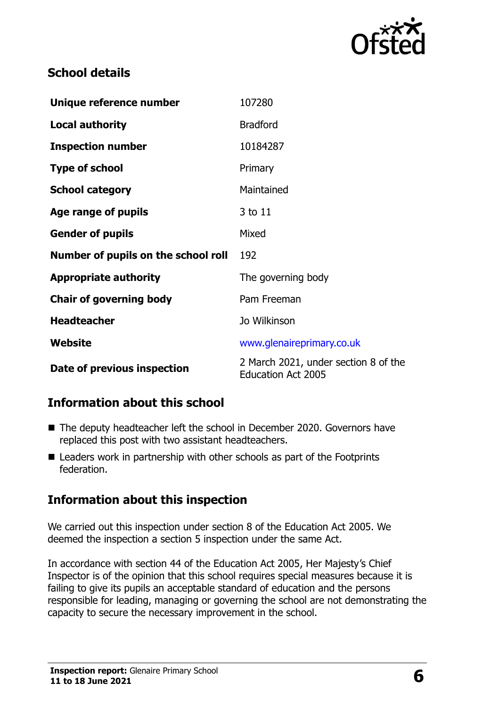

# **School details**

| Unique reference number             | 107280                                                            |  |
|-------------------------------------|-------------------------------------------------------------------|--|
| <b>Local authority</b>              | <b>Bradford</b>                                                   |  |
| <b>Inspection number</b>            | 10184287                                                          |  |
| <b>Type of school</b>               | Primary                                                           |  |
| <b>School category</b>              | Maintained                                                        |  |
| Age range of pupils                 | 3 to 11                                                           |  |
| <b>Gender of pupils</b>             | Mixed                                                             |  |
| Number of pupils on the school roll | 192                                                               |  |
| <b>Appropriate authority</b>        | The governing body                                                |  |
| <b>Chair of governing body</b>      | Pam Freeman                                                       |  |
| <b>Headteacher</b>                  | Jo Wilkinson                                                      |  |
| Website                             | www.glenaireprimary.co.uk                                         |  |
| Date of previous inspection         | 2 March 2021, under section 8 of the<br><b>Education Act 2005</b> |  |

# **Information about this school**

- The deputy headteacher left the school in December 2020. Governors have replaced this post with two assistant headteachers.
- Leaders work in partnership with other schools as part of the Footprints federation.

# **Information about this inspection**

We carried out this inspection under section 8 of the Education Act 2005. We deemed the inspection a section 5 inspection under the same Act.

In accordance with section 44 of the Education Act 2005, Her Majesty's Chief Inspector is of the opinion that this school requires special measures because it is failing to give its pupils an acceptable standard of education and the persons responsible for leading, managing or governing the school are not demonstrating the capacity to secure the necessary improvement in the school.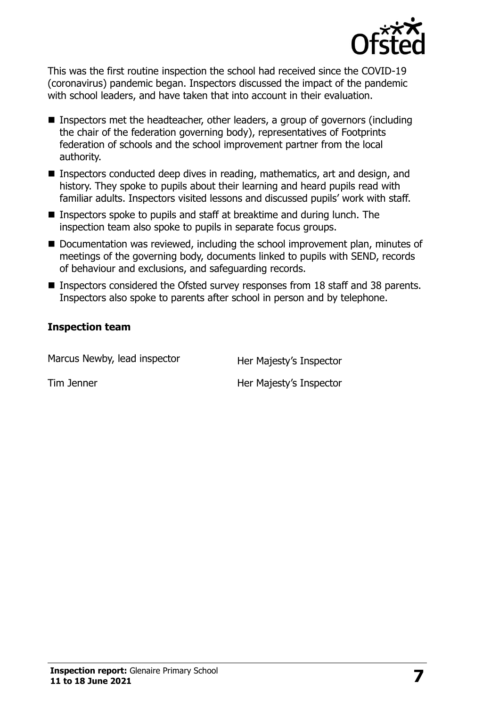

This was the first routine inspection the school had received since the COVID-19 (coronavirus) pandemic began. Inspectors discussed the impact of the pandemic with school leaders, and have taken that into account in their evaluation.

- Inspectors met the headteacher, other leaders, a group of governors (including the chair of the federation governing body), representatives of Footprints federation of schools and the school improvement partner from the local authority.
- Inspectors conducted deep dives in reading, mathematics, art and design, and history. They spoke to pupils about their learning and heard pupils read with familiar adults. Inspectors visited lessons and discussed pupils' work with staff.
- Inspectors spoke to pupils and staff at breaktime and during lunch. The inspection team also spoke to pupils in separate focus groups.
- Documentation was reviewed, including the school improvement plan, minutes of meetings of the governing body, documents linked to pupils with SEND, records of behaviour and exclusions, and safeguarding records.
- Inspectors considered the Ofsted survey responses from 18 staff and 38 parents. Inspectors also spoke to parents after school in person and by telephone.

#### **Inspection team**

| Marcus Newby, lead inspector | Her Majesty's Inspector |
|------------------------------|-------------------------|
| Tim Jenner                   | Her Majesty's Inspector |